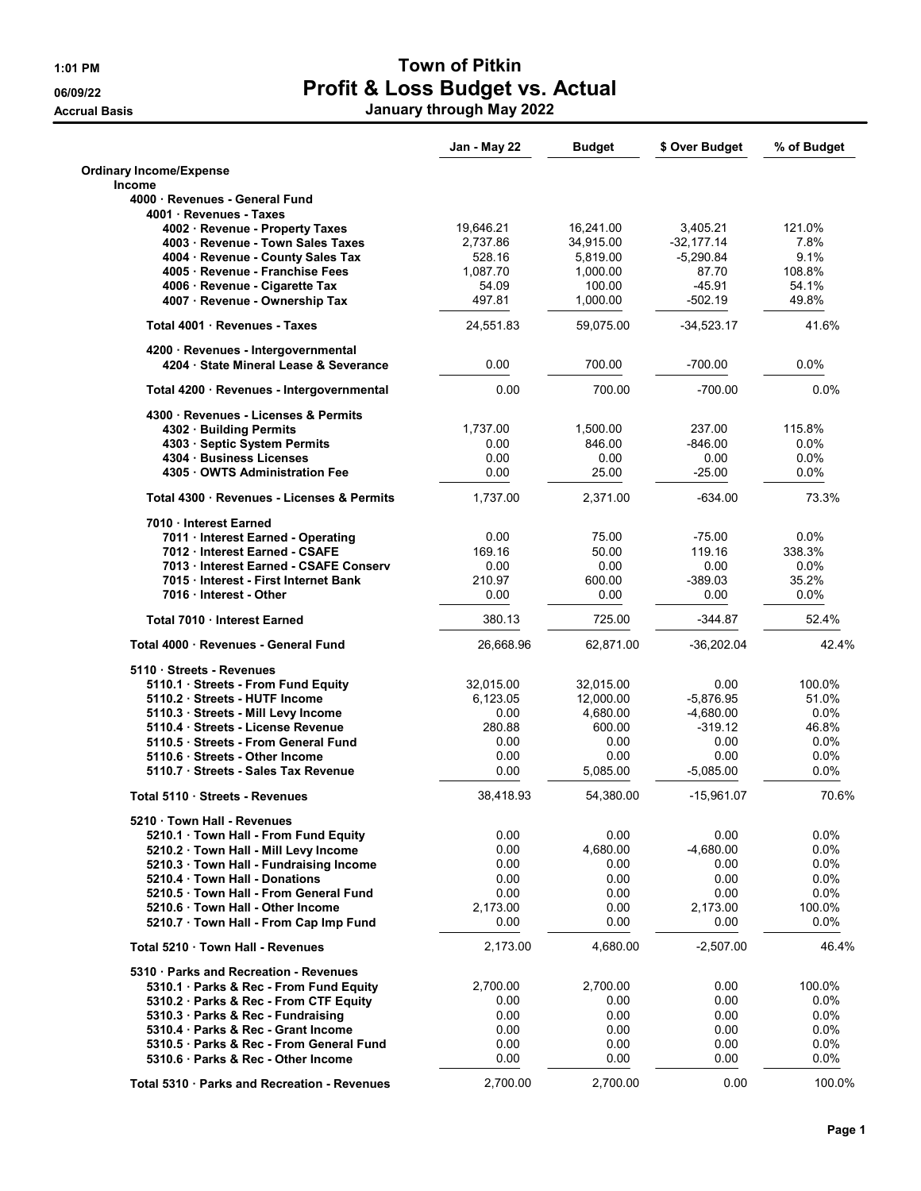**Accrual Basis** 

## 1:01 PM Town of Pitkin 06/09/22 Profit & Loss Budget vs. Actual

|  |  | January through May 2022 |
|--|--|--------------------------|
|--|--|--------------------------|

|                                                                       | Jan - May 22          | <b>Budget</b>          | \$ Over Budget       | % of Budget      |
|-----------------------------------------------------------------------|-----------------------|------------------------|----------------------|------------------|
| <b>Ordinary Income/Expense</b>                                        |                       |                        |                      |                  |
| Income                                                                |                       |                        |                      |                  |
| 4000 · Revenues - General Fund                                        |                       |                        |                      |                  |
| 4001 Revenues - Taxes                                                 |                       |                        |                      |                  |
| 4002 · Revenue - Property Taxes                                       | 19,646.21             | 16,241.00              | 3.405.21             | 121.0%           |
| 4003 · Revenue - Town Sales Taxes                                     | 2,737.86              | 34,915.00              | -32,177.14           | 7.8%             |
| 4004 · Revenue - County Sales Tax                                     | 528.16                | 5,819.00               | $-5,290.84$<br>87.70 | 9.1%<br>108.8%   |
| 4005 · Revenue - Franchise Fees<br>4006 · Revenue - Cigarette Tax     | 1,087.70<br>54.09     | 1,000.00<br>100.00     | $-45.91$             | 54.1%            |
| 4007 · Revenue - Ownership Tax                                        | 497.81                | 1,000.00               | $-502.19$            | 49.8%            |
|                                                                       |                       |                        |                      |                  |
| Total 4001 Revenues - Taxes                                           | 24,551.83             | 59,075.00              | $-34,523.17$         | 41.6%            |
| 4200 · Revenues - Intergovernmental                                   |                       |                        |                      |                  |
| 4204 State Mineral Lease & Severance                                  | 0.00                  | 700.00                 | $-700.00$            | $0.0\%$          |
| Total 4200 · Revenues - Intergovernmental                             | 0.00                  | 700.00                 | $-700.00$            | 0.0%             |
| 4300 · Revenues - Licenses & Permits                                  |                       |                        |                      |                  |
| 4302 · Building Permits                                               | 1,737.00              | 1,500.00               | 237.00               | 115.8%           |
| 4303 · Septic System Permits                                          | 0.00                  | 846.00                 | $-846.00$            | 0.0%             |
| 4304 Business Licenses                                                | 0.00                  | 0.00                   | 0.00                 | $0.0\%$          |
| 4305 OWTS Administration Fee                                          | 0.00                  | 25.00                  | $-25.00$             | $0.0\%$          |
| Total 4300 · Revenues - Licenses & Permits                            | 1,737.00              | 2,371.00               | $-634.00$            | 73.3%            |
| 7010 Interest Earned                                                  |                       |                        |                      |                  |
| 7011 · Interest Earned - Operating                                    | 0.00                  | 75.00                  | $-75.00$             | $0.0\%$          |
| 7012 Interest Earned - CSAFE                                          | 169.16                | 50.00                  | 119.16               | 338.3%           |
| 7013 Interest Earned - CSAFE Conserv                                  | 0.00                  | 0.00                   | 0.00                 | $0.0\%$          |
| 7015 Interest - First Internet Bank<br>7016 Interest - Other          | 210.97<br>0.00        | 600.00<br>0.00         | $-389.03$<br>0.00    | 35.2%<br>$0.0\%$ |
| Total 7010 Interest Earned                                            | 380.13                | 725.00                 | $-344.87$            | 52.4%            |
| Total 4000 · Revenues - General Fund                                  | 26,668.96             | 62,871.00              | $-36,202.04$         | 42.4%            |
|                                                                       |                       |                        |                      |                  |
| 5110 Streets - Revenues                                               |                       |                        |                      |                  |
| 5110.1 Streets - From Fund Equity                                     | 32,015.00<br>6,123.05 | 32,015.00<br>12,000.00 | 0.00<br>$-5,876.95$  | 100.0%<br>51.0%  |
| 5110.2 · Streets - HUTF Income<br>5110.3 · Streets - Mill Levy Income | 0.00                  | 4,680.00               | $-4,680.00$          | $0.0\%$          |
| 5110.4 Streets - License Revenue                                      | 280.88                | 600.00                 | $-319.12$            | 46.8%            |
| 5110.5 · Streets - From General Fund                                  | 0.00                  | 0.00                   | 0.00                 | $0.0\%$          |
| 5110.6 Streets - Other Income                                         | 0.00                  | 0.00                   | 0.00                 | 0.0%             |
| 5110.7 · Streets - Sales Tax Revenue                                  | 0.00                  | 5,085.00               | $-5,085.00$          | $0.0\%$          |
| Total 5110 · Streets - Revenues                                       | 38,418.93             | 54,380.00              | $-15,961.07$         | 70.6%            |
|                                                                       |                       |                        |                      |                  |
| 5210 Town Hall - Revenues                                             |                       |                        |                      |                  |
| 5210.1 Town Hall - From Fund Equity                                   | 0.00                  | 0.00                   | 0.00                 | $0.0\%$          |
| 5210.2 · Town Hall - Mill Levy Income                                 | 0.00<br>0.00          | 4,680.00               | $-4,680.00$<br>0.00  | 0.0%<br>$0.0\%$  |
| 5210.3 Town Hall - Fundraising Income<br>5210.4 Town Hall - Donations | 0.00                  | 0.00<br>0.00           | 0.00                 | 0.0%             |
| 5210.5 Town Hall - From General Fund                                  | 0.00                  | 0.00                   | 0.00                 | 0.0%             |
| 5210.6 Town Hall - Other Income                                       | 2,173.00              | 0.00                   | 2,173.00             | 100.0%           |
| 5210.7 · Town Hall - From Cap Imp Fund                                | 0.00                  | 0.00                   | 0.00                 | $0.0\%$          |
| Total 5210 Town Hall - Revenues                                       | 2,173.00              | 4,680.00               | $-2,507.00$          | 46.4%            |
| 5310 · Parks and Recreation - Revenues                                |                       |                        |                      |                  |
| 5310.1 · Parks & Rec - From Fund Equity                               | 2,700.00              | 2,700.00               | 0.00                 | 100.0%           |
| 5310.2 · Parks & Rec - From CTF Equity                                | 0.00                  | 0.00                   | 0.00                 | $0.0\%$          |
| 5310.3 · Parks & Rec - Fundraising                                    | 0.00                  | 0.00                   | 0.00                 | $0.0\%$          |
| 5310.4 Parks & Rec - Grant Income                                     | 0.00                  | 0.00                   | 0.00                 | $0.0\%$          |
| 5310.5 · Parks & Rec - From General Fund                              | 0.00                  | 0.00                   | 0.00                 | 0.0%             |
| 5310.6 Parks & Rec - Other Income                                     | 0.00                  | 0.00                   | 0.00                 | 0.0%             |
|                                                                       |                       |                        |                      |                  |
| Total 5310 · Parks and Recreation - Revenues                          | 2,700.00              | 2,700.00               | 0.00                 | 100.0%           |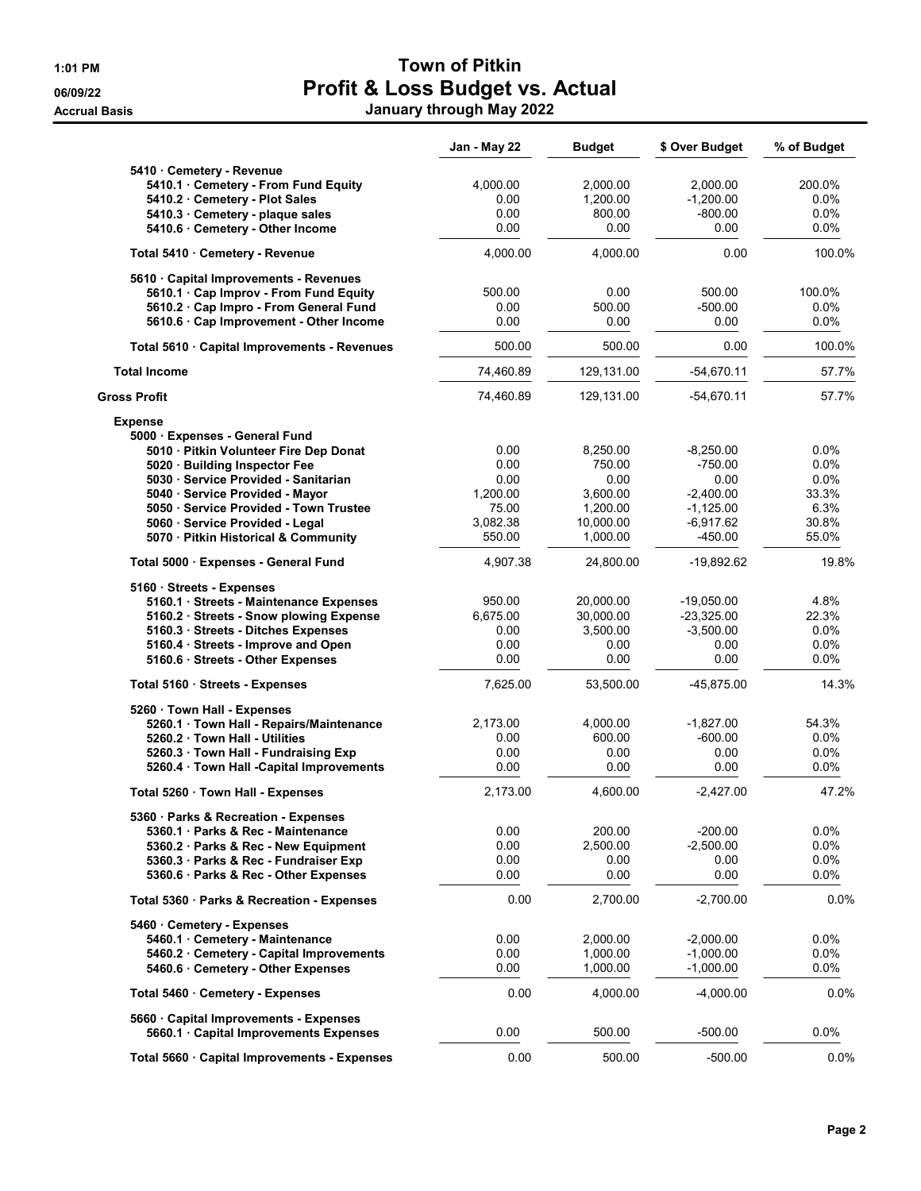## 1:01 PM Town of Pitkin 06/09/22 **Profit & Loss Budget vs. Actual** Accrual Basis January through May 2022

|                                              | Jan - May 22 | <b>Budget</b> | \$ Over Budget | % of Budget |
|----------------------------------------------|--------------|---------------|----------------|-------------|
| 5410 Cemetery - Revenue                      |              |               |                |             |
| 5410.1 · Cemetery - From Fund Equity         | 4,000.00     | 2,000.00      | 2,000.00       | 200.0%      |
| 5410.2 Cemetery - Plot Sales                 | 0.00         | 1,200.00      | $-1,200.00$    | $0.0\%$     |
| 5410.3 Cemetery - plaque sales               | 0.00         | 800.00        | $-800.00$      | 0.0%        |
| 5410.6 · Cemetery - Other Income             | 0.00         | 0.00          | 0.00           | 0.0%        |
| Total 5410 Cemetery - Revenue                | 4,000.00     | 4,000.00      | 0.00           | 100.0%      |
| 5610 Capital Improvements - Revenues         |              |               |                |             |
| 5610.1 Cap Improv - From Fund Equity         | 500.00       | 0.00          | 500.00         | 100.0%      |
| 5610.2 · Cap Impro - From General Fund       | 0.00         | 500.00        | $-500.00$      | 0.0%        |
| 5610.6 · Cap Improvement - Other Income      | 0.00         | 0.00          | 0.00           | $0.0\%$     |
| Total 5610 · Capital Improvements - Revenues | 500.00       | 500.00        | 0.00           | 100.0%      |
| <b>Total Income</b>                          | 74,460.89    | 129,131.00    | $-54,670.11$   | 57.7%       |
| Gross Profit                                 | 74,460.89    | 129,131.00    | $-54,670.11$   | 57.7%       |
| <b>Expense</b>                               |              |               |                |             |
| 5000 · Expenses - General Fund               |              |               |                |             |
| 5010 · Pitkin Volunteer Fire Dep Donat       | 0.00         | 8,250.00      | $-8,250.00$    | $0.0\%$     |
| 5020 · Building Inspector Fee                | 0.00         | 750.00        | $-750.00$      | 0.0%        |
| 5030 · Service Provided - Sanitarian         | 0.00         | 0.00          | 0.00           | 0.0%        |
| 5040 · Service Provided - Mayor              | 1,200.00     | 3,600.00      | $-2.400.00$    | 33.3%       |
| 5050 · Service Provided - Town Trustee       | 75.00        | 1,200.00      | $-1,125.00$    | 6.3%        |
| 5060 · Service Provided - Legal              | 3,082.38     | 10,000.00     | $-6,917.62$    | 30.8%       |
| 5070 · Pitkin Historical & Community         | 550.00       | 1,000.00      | $-450.00$      | 55.0%       |
| Total 5000 · Expenses - General Fund         | 4,907.38     | 24,800.00     | $-19,892.62$   | 19.8%       |
| 5160 · Streets - Expenses                    |              |               |                |             |
| 5160.1 · Streets - Maintenance Expenses      | 950.00       | 20,000.00     | $-19,050.00$   | 4.8%        |
| 5160.2 · Streets - Snow plowing Expense      | 6,675.00     | 30,000.00     | $-23,325.00$   | 22.3%       |
| 5160.3 · Streets - Ditches Expenses          | 0.00         | 3,500.00      | $-3,500.00$    | 0.0%        |
| 5160.4 · Streets - Improve and Open          | 0.00         | 0.00          | 0.00           | 0.0%        |
| 5160.6 · Streets - Other Expenses            | 0.00         | 0.00          | 0.00           | 0.0%        |
| Total 5160 · Streets - Expenses              | 7,625.00     | 53,500.00     | -45,875.00     | 14.3%       |
| 5260 Town Hall - Expenses                    |              |               |                |             |
| 5260.1 Town Hall - Repairs/Maintenance       | 2,173.00     | 4,000.00      | $-1,827.00$    | 54.3%       |
| 5260.2 · Town Hall - Utilities               | 0.00         | 600.00        | $-600.00$      | 0.0%        |
| 5260.3 · Town Hall - Fundraising Exp         | 0.00         | 0.00          | 0.00           | 0.0%        |
| 5260.4 · Town Hall -Capital Improvements     | 0.00         | 0.00          | 0.00           | 0.0%        |
| Total 5260 · Town Hall - Expenses            | 2,173.00     | 4.600.00      | $-2,427.00$    | 47.2%       |
| 5360 · Parks & Recreation - Expenses         |              |               |                |             |
| 5360.1 Parks & Rec - Maintenance             | 0.00         | 200.00        | $-200.00$      | $0.0\%$     |
| 5360.2 · Parks & Rec - New Equipment         | 0.00         | 2,500.00      | $-2,500.00$    | 0.0%        |
| 5360.3 · Parks & Rec - Fundraiser Exp        | 0.00         | 0.00          | 0.00           | 0.0%        |
| 5360.6 · Parks & Rec - Other Expenses        | 0.00         | 0.00          | 0.00           | 0.0%        |
| Total 5360 · Parks & Recreation - Expenses   | 0.00         | 2,700.00      | $-2,700.00$    | 0.0%        |
| 5460 Cemetery - Expenses                     |              |               |                |             |
| 5460.1 Cemetery - Maintenance                | 0.00         | 2,000.00      | $-2,000.00$    | $0.0\%$     |
| 5460.2 Cemetery - Capital Improvements       | 0.00         | 1,000.00      | $-1,000.00$    | 0.0%        |
| 5460.6 Cemetery - Other Expenses             | 0.00         | 1,000.00      | $-1,000.00$    | 0.0%        |
| Total 5460 · Cemetery - Expenses             | 0.00         | 4,000.00      | $-4,000.00$    | $0.0\%$     |
| 5660 Capital Improvements - Expenses         |              |               |                |             |
| 5660.1 · Capital Improvements Expenses       | 0.00         | 500.00        | $-500.00$      | 0.0%        |
| Total 5660 · Capital Improvements - Expenses | 0.00         | 500.00        | $-500.00$      | $0.0\%$     |